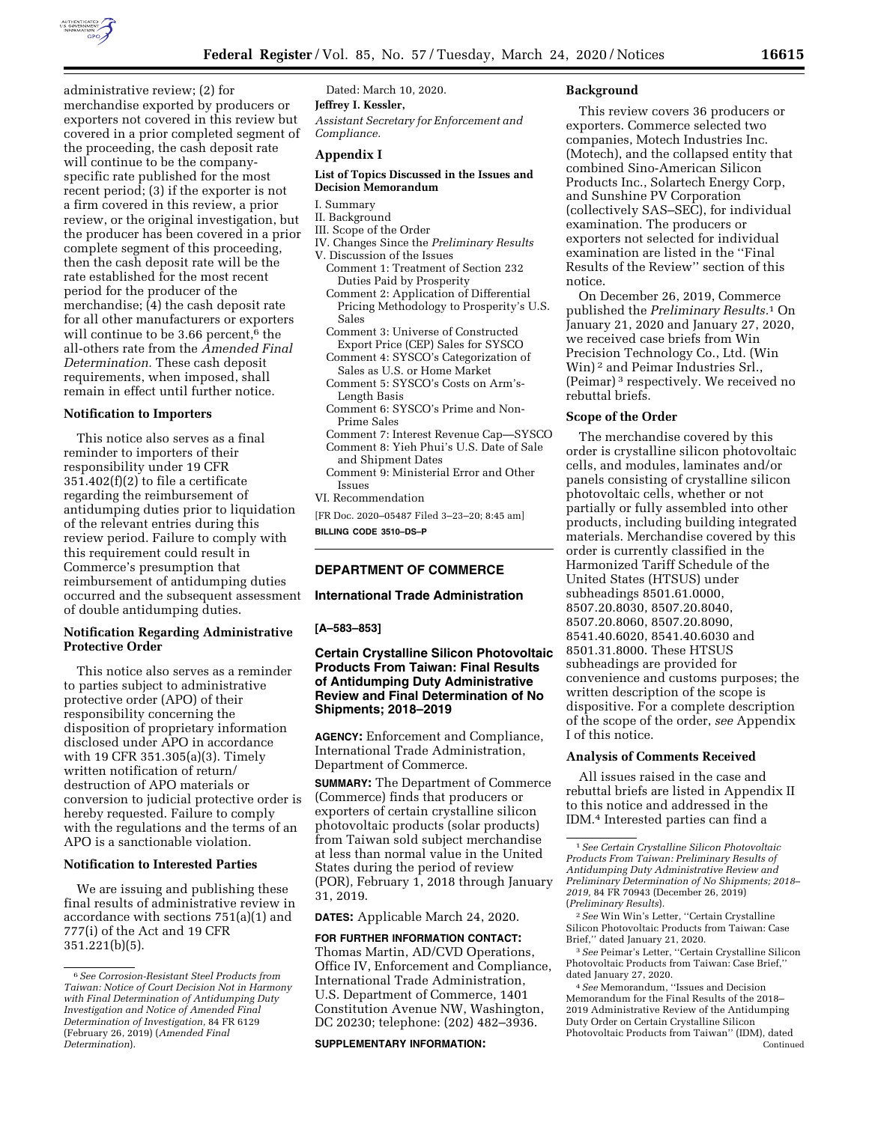

administrative review; (2) for merchandise exported by producers or exporters not covered in this review but covered in a prior completed segment of the proceeding, the cash deposit rate will continue to be the companyspecific rate published for the most recent period; (3) if the exporter is not a firm covered in this review, a prior review, or the original investigation, but the producer has been covered in a prior complete segment of this proceeding, then the cash deposit rate will be the rate established for the most recent period for the producer of the merchandise; (4) the cash deposit rate for all other manufacturers or exporters will continue to be 3.66 percent,<sup>6</sup> the all-others rate from the *Amended Final Determination.* These cash deposit requirements, when imposed, shall remain in effect until further notice.

### **Notification to Importers**

This notice also serves as a final reminder to importers of their responsibility under 19 CFR 351.402(f)(2) to file a certificate regarding the reimbursement of antidumping duties prior to liquidation of the relevant entries during this review period. Failure to comply with this requirement could result in Commerce's presumption that reimbursement of antidumping duties occurred and the subsequent assessment of double antidumping duties.

#### **Notification Regarding Administrative Protective Order**

This notice also serves as a reminder to parties subject to administrative protective order (APO) of their responsibility concerning the disposition of proprietary information disclosed under APO in accordance with 19 CFR 351.305(a)(3). Timely written notification of return/ destruction of APO materials or conversion to judicial protective order is hereby requested. Failure to comply with the regulations and the terms of an APO is a sanctionable violation.

# **Notification to Interested Parties**

We are issuing and publishing these final results of administrative review in accordance with sections 751(a)(1) and 777(i) of the Act and 19 CFR 351.221(b)(5).

Dated: March 10, 2020.

### **Jeffrey I. Kessler,**

*Assistant Secretary for Enforcement and Compliance.* 

### **Appendix I**

#### **List of Topics Discussed in the Issues and Decision Memorandum**

#### I. Summary

- II. Background
- III. Scope of the Order
- IV. Changes Since the *Preliminary Results*  V. Discussion of the Issues
	- Comment 1: Treatment of Section 232 Duties Paid by Prosperity
	- Comment 2: Application of Differential Pricing Methodology to Prosperity's U.S. Sales
	- Comment 3: Universe of Constructed Export Price (CEP) Sales for SYSCO
	- Comment 4: SYSCO's Categorization of Sales as U.S. or Home Market
	- Comment 5: SYSCO's Costs on Arm's-Length Basis
	- Comment 6: SYSCO's Prime and Non-Prime Sales
- Comment 7: Interest Revenue Cap—SYSCO Comment 8: Yieh Phui's U.S. Date of Sale and Shipment Dates
- Comment 9: Ministerial Error and Other Issues
- VI. Recommendation

[FR Doc. 2020–05487 Filed 3–23–20; 8:45 am] **BILLING CODE 3510–DS–P** 

# **DEPARTMENT OF COMMERCE**

### **International Trade Administration**

#### **[A–583–853]**

# **Certain Crystalline Silicon Photovoltaic Products From Taiwan: Final Results of Antidumping Duty Administrative Review and Final Determination of No Shipments; 2018–2019**

**AGENCY:** Enforcement and Compliance, International Trade Administration, Department of Commerce.

**SUMMARY:** The Department of Commerce (Commerce) finds that producers or exporters of certain crystalline silicon photovoltaic products (solar products) from Taiwan sold subject merchandise at less than normal value in the United States during the period of review (POR), February 1, 2018 through January 31, 2019.

# **DATES:** Applicable March 24, 2020.

**FOR FURTHER INFORMATION CONTACT:**  Thomas Martin, AD/CVD Operations, Office IV, Enforcement and Compliance, International Trade Administration, U.S. Department of Commerce, 1401 Constitution Avenue NW, Washington, DC 20230; telephone: (202) 482–3936.

#### **SUPPLEMENTARY INFORMATION:**

#### **Background**

This review covers 36 producers or exporters. Commerce selected two companies, Motech Industries Inc. (Motech), and the collapsed entity that combined Sino-American Silicon Products Inc., Solartech Energy Corp, and Sunshine PV Corporation (collectively SAS–SEC), for individual examination. The producers or exporters not selected for individual examination are listed in the ''Final Results of the Review'' section of this notice.

On December 26, 2019, Commerce published the *Preliminary Results.*1 On January 21, 2020 and January 27, 2020, we received case briefs from Win Precision Technology Co., Ltd. (Win Win) 2 and Peimar Industries Srl., (Peimar) 3 respectively. We received no rebuttal briefs.

#### **Scope of the Order**

The merchandise covered by this order is crystalline silicon photovoltaic cells, and modules, laminates and/or panels consisting of crystalline silicon photovoltaic cells, whether or not partially or fully assembled into other products, including building integrated materials. Merchandise covered by this order is currently classified in the Harmonized Tariff Schedule of the United States (HTSUS) under subheadings 8501.61.0000, 8507.20.8030, 8507.20.8040, 8507.20.8060, 8507.20.8090, 8541.40.6020, 8541.40.6030 and 8501.31.8000. These HTSUS subheadings are provided for convenience and customs purposes; the written description of the scope is dispositive. For a complete description of the scope of the order, *see* Appendix I of this notice.

#### **Analysis of Comments Received**

All issues raised in the case and rebuttal briefs are listed in Appendix II to this notice and addressed in the IDM.4 Interested parties can find a

2*See* Win Win's Letter, ''Certain Crystalline Silicon Photovoltaic Products from Taiwan: Case Brief,'' dated January 21, 2020.

3*See* Peimar's Letter, ''Certain Crystalline Silicon Photovoltaic Products from Taiwan: Case Brief,'' dated January 27, 2020.

4*See* Memorandum, ''Issues and Decision Memorandum for the Final Results of the 2018– 2019 Administrative Review of the Antidumping Duty Order on Certain Crystalline Silicon Photovoltaic Products from Taiwan'' (IDM), dated Continued

<sup>6</sup>*See Corrosion-Resistant Steel Products from Taiwan: Notice of Court Decision Not in Harmony with Final Determination of Antidumping Duty Investigation and Notice of Amended Final Determination of Investigation,* 84 FR 6129 (February 26, 2019) (*Amended Final Determination*).

<sup>1</sup>*See Certain Crystalline Silicon Photovoltaic Products From Taiwan: Preliminary Results of Antidumping Duty Administrative Review and Preliminary Determination of No Shipments; 2018– 2019,* 84 FR 70943 (December 26, 2019) (*Preliminary Results*).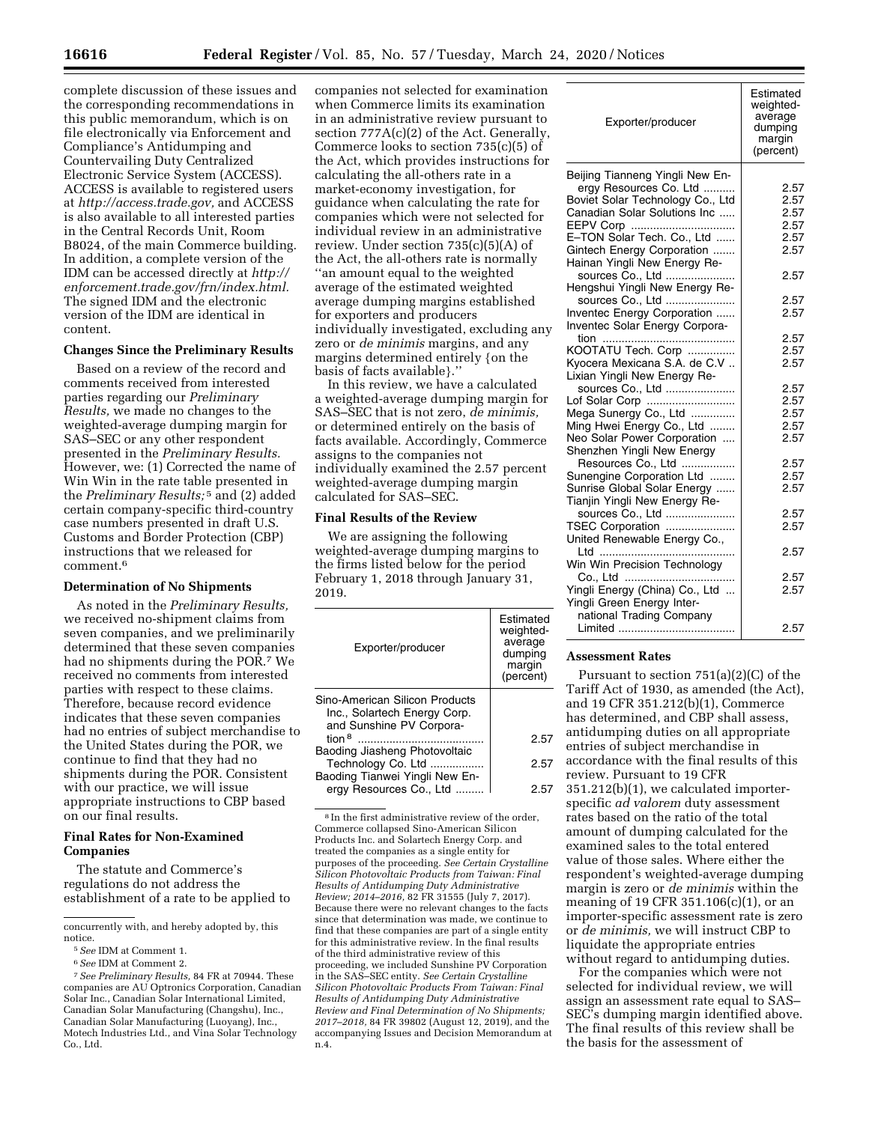complete discussion of these issues and the corresponding recommendations in this public memorandum, which is on file electronically via Enforcement and Compliance's Antidumping and Countervailing Duty Centralized Electronic Service System (ACCESS). ACCESS is available to registered users at *[http://access.trade.gov,](http://access.trade.gov)* and ACCESS is also available to all interested parties in the Central Records Unit, Room B8024, of the main Commerce building. In addition, a complete version of the IDM can be accessed directly at *[http://](http://enforcement.trade.gov/frn/index.html)  [enforcement.trade.gov/frn/index.html.](http://enforcement.trade.gov/frn/index.html)*  The signed IDM and the electronic version of the IDM are identical in content.

#### **Changes Since the Preliminary Results**

Based on a review of the record and comments received from interested parties regarding our *Preliminary Results,* we made no changes to the weighted-average dumping margin for SAS–SEC or any other respondent presented in the *Preliminary Results.*  However, we: (1) Corrected the name of Win Win in the rate table presented in the *Preliminary Results;* 5 and (2) added certain company-specific third-country case numbers presented in draft U.S. Customs and Border Protection (CBP) instructions that we released for comment.6

#### **Determination of No Shipments**

As noted in the *Preliminary Results,*  we received no-shipment claims from seven companies, and we preliminarily determined that these seven companies had no shipments during the POR.7 We received no comments from interested parties with respect to these claims. Therefore, because record evidence indicates that these seven companies had no entries of subject merchandise to the United States during the POR, we continue to find that they had no shipments during the POR. Consistent with our practice, we will issue appropriate instructions to CBP based on our final results.

#### **Final Rates for Non-Examined Companies**

The statute and Commerce's regulations do not address the establishment of a rate to be applied to

companies not selected for examination when Commerce limits its examination in an administrative review pursuant to section 777A(c)(2) of the Act. Generally, Commerce looks to section 735(c)(5) of the Act, which provides instructions for calculating the all-others rate in a market-economy investigation, for guidance when calculating the rate for companies which were not selected for individual review in an administrative review. Under section 735(c)(5)(A) of the Act, the all-others rate is normally ''an amount equal to the weighted average of the estimated weighted average dumping margins established for exporters and producers individually investigated, excluding any zero or *de minimis* margins, and any margins determined entirely {on the basis of facts available}.''

In this review, we have a calculated a weighted-average dumping margin for SAS–SEC that is not zero, *de minimis,*  or determined entirely on the basis of facts available. Accordingly, Commerce assigns to the companies not individually examined the 2.57 percent weighted-average dumping margin calculated for SAS–SEC.

### **Final Results of the Review**

We are assigning the following weighted-average dumping margins to the firms listed below for the period February 1, 2018 through January 31, 2019.

| Exporter/producer                                                                          | <b>Fstimated</b><br>weighted-<br>average<br>dumping<br>margin<br>(percent) |
|--------------------------------------------------------------------------------------------|----------------------------------------------------------------------------|
| Sino-American Silicon Products<br>Inc., Solartech Energy Corp.<br>and Sunshine PV Corpora- |                                                                            |
| tion 8                                                                                     | 2.57                                                                       |
| Baoding Jiasheng Photovoltaic<br>Technology Co. Ltd                                        | 2.57                                                                       |
| Baoding Tianwei Yingli New En-<br>ergy Resources Co., Ltd                                  | 25                                                                         |

8 In the first administrative review of the order, Commerce collapsed Sino-American Silicon Products Inc. and Solartech Energy Corp. and treated the companies as a single entity for purposes of the proceeding. *See Certain Crystalline Silicon Photovoltaic Products from Taiwan: Final Results of Antidumping Duty Administrative Review; 2014–2016,* 82 FR 31555 (July 7, 2017). Because there were no relevant changes to the facts since that determination was made, we continue to find that these companies are part of a single entity for this administrative review. In the final results of the third administrative review of this proceeding, we included Sunshine PV Corporation in the SAS–SEC entity. *See Certain Crystalline Silicon Photovoltaic Products From Taiwan: Final Results of Antidumping Duty Administrative Review and Final Determination of No Shipments; 2017–2018,* 84 FR 39802 (August 12, 2019), and the accompanying Issues and Decision Memorandum at n.4.

| Exporter/producer                                             | Estimated<br>weighted-<br>average<br>dumping<br>margin<br>(percent) |
|---------------------------------------------------------------|---------------------------------------------------------------------|
| Beijing Tianneng Yingli New En-                               |                                                                     |
| ergy Resources Co. Ltd                                        | 2.57                                                                |
| Boviet Solar Technology Co., Ltd                              | 2.57                                                                |
| Canadian Solar Solutions Inc                                  | 2.57                                                                |
| EEPV Corp                                                     | 2.57                                                                |
| E-TON Solar Tech. Co., Ltd                                    | 2.57                                                                |
| Gintech Energy Corporation<br>Hainan Yingli New Energy Re-    | 2.57                                                                |
| sources Co., Ltd<br>Hengshui Yingli New Energy Re-            | 2.57                                                                |
| sources Co., Ltd                                              | 2.57                                                                |
| Inventec Energy Corporation<br>Inventec Solar Energy Corpora- | 2.57                                                                |
|                                                               | 2.57                                                                |
| KOOTATU Tech. Corp                                            | 2.57                                                                |
| Kyocera Mexicana S.A. de C.V                                  | 2.57                                                                |
| Lixian Yingli New Energy Re-                                  |                                                                     |
| sources Co., Ltd                                              | 2.57                                                                |
| Lof Solar Corp                                                | 2.57                                                                |
| Mega Sunergy Co., Ltd                                         | 2.57                                                                |
| Ming Hwei Energy Co., Ltd                                     | 2.57                                                                |
| Neo Solar Power Corporation                                   | 2.57                                                                |
| Shenzhen Yingli New Energy                                    |                                                                     |
| Resources Co., Ltd                                            | 2.57                                                                |
| Sunengine Corporation Ltd                                     | 2.57                                                                |
| Sunrise Global Solar Energy                                   | 2.57                                                                |
| Tianjin Yingli New Energy Re-                                 |                                                                     |
| sources Co., Ltd                                              | 2.57                                                                |
| TSEC Corporation                                              | 2.57                                                                |
| United Renewable Energy Co.,                                  |                                                                     |
| Ltd                                                           | 2.57                                                                |
| Win Win Precision Technology                                  |                                                                     |
| Co., Ltd                                                      | 2.57                                                                |
| Yingli Energy (China) Co., Ltd                                | 2.57                                                                |
| Yingli Green Energy Inter-                                    |                                                                     |
| national Trading Company                                      |                                                                     |
|                                                               | 2.57                                                                |
|                                                               |                                                                     |

#### **Assessment Rates**

Pursuant to section 751(a)(2)(C) of the Tariff Act of 1930, as amended (the Act), and 19 CFR 351.212(b)(1), Commerce has determined, and CBP shall assess, antidumping duties on all appropriate entries of subject merchandise in accordance with the final results of this review. Pursuant to 19 CFR 351.212(b)(1), we calculated importerspecific *ad valorem* duty assessment rates based on the ratio of the total amount of dumping calculated for the examined sales to the total entered value of those sales. Where either the respondent's weighted-average dumping margin is zero or *de minimis* within the meaning of 19 CFR 351.106(c)(1), or an importer-specific assessment rate is zero or *de minimis,* we will instruct CBP to liquidate the appropriate entries without regard to antidumping duties.

For the companies which were not selected for individual review, we will assign an assessment rate equal to SAS– SEC's dumping margin identified above. The final results of this review shall be the basis for the assessment of

concurrently with, and hereby adopted by, this notice.

<sup>5</sup>*See* IDM at Comment 1.

<sup>6</sup>*See* IDM at Comment 2.

<sup>7</sup>*See Preliminary Results,* 84 FR at 70944. These companies are AU Optronics Corporation, Canadian Solar Inc., Canadian Solar International Limited, Canadian Solar Manufacturing (Changshu), Inc., Canadian Solar Manufacturing (Luoyang), Inc., Motech Industries Ltd., and Vina Solar Technology Co., Ltd.